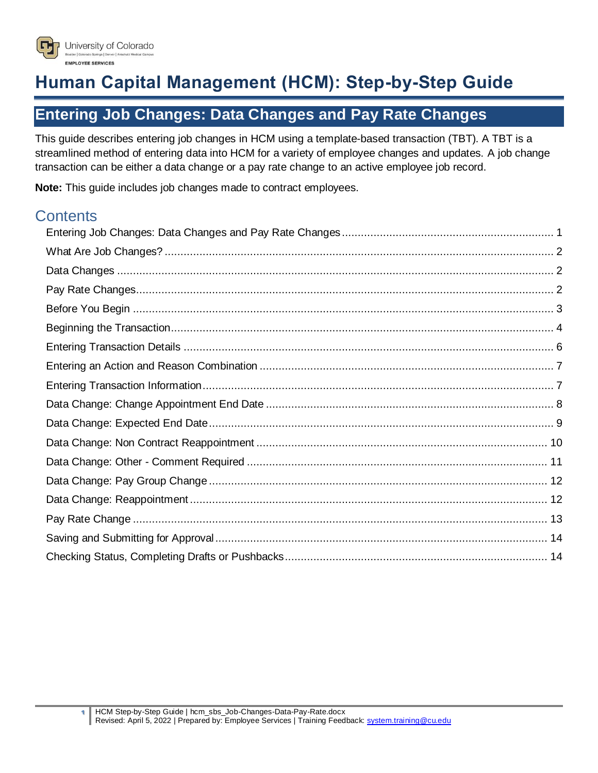

# **Human Capital Management (HCM): Step-by-Step Guide**

# <span id="page-0-0"></span>**Entering Job Changes: Data Changes and Pay Rate Changes**

This guide describes entering job changes in HCM using a template-based transaction (TBT). A TBT is a streamlined method of entering data into HCM for a variety of employee changes and updates. A job change transaction can be either a data change or a pay rate change to an active employee job record.

**Note:** This guide includes job changes made to contract employees.

# **Contents**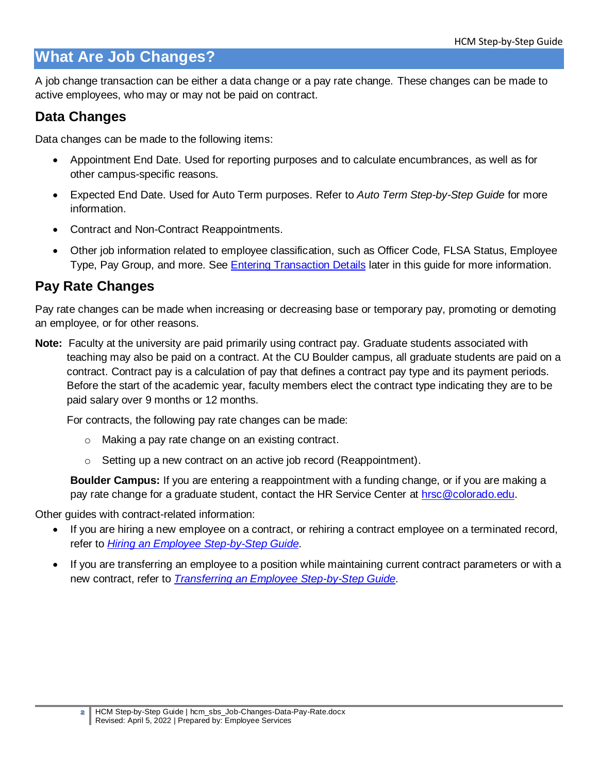# <span id="page-1-0"></span>**What Are Job Changes?**

A job change transaction can be either a data change or a pay rate change. These changes can be made to active employees, who may or may not be paid on contract.

### <span id="page-1-1"></span>**Data Changes**

Data changes can be made to the following items:

- Appointment End Date. Used for reporting purposes and to calculate encumbrances, as well as for other campus-specific reasons.
- Expected End Date. Used for Auto Term purposes. Refer to *Auto Term Step-by-Step Guide* for more information.
- Contract and Non-Contract Reappointments.
- Other job information related to employee classification, such as Officer Code, FLSA Status, Employee Type, Pay Group, and more. See [Entering Transaction Details](#page-10-0) later in this guide for more information.

### <span id="page-1-2"></span>**Pay Rate Changes**

Pay rate changes can be made when increasing or decreasing base or temporary pay, promoting or demoting an employee, or for other reasons.

**Note:** Faculty at the university are paid primarily using contract pay. Graduate students associated with teaching may also be paid on a contract. At the CU Boulder campus, all graduate students are paid on a contract. Contract pay is a calculation of pay that defines a contract pay type and its payment periods. Before the start of the academic year, faculty members elect the contract type indicating they are to be paid salary over 9 months or 12 months.

For contracts, the following pay rate changes can be made:

- o Making a pay rate change on an existing contract.
- o Setting up a new contract on an active job record (Reappointment).

**Boulder Campus:** If you are entering a reappointment with a funding change, or if you are making a pay rate change for a graduate student, contact the HR Service Center at [hrsc@colorado.edu.](mailto:hrsc@colorado.edu)

Other guides with contract-related information:

- If you are hiring a new employee on a contract, or rehiring a contract employee on a terminated record, refer to *[Hiring an Employee Step-by-Step Guide](https://www.cu.edu/docs/sbs-hiring-employee)*.
- If you are transferring an employee to a position while maintaining current contract parameters or with a new contract, refer to *[Transferring an Employee Step-by-Step Guide](https://www.cu.edu/docs/sbs-transferring-employee)*.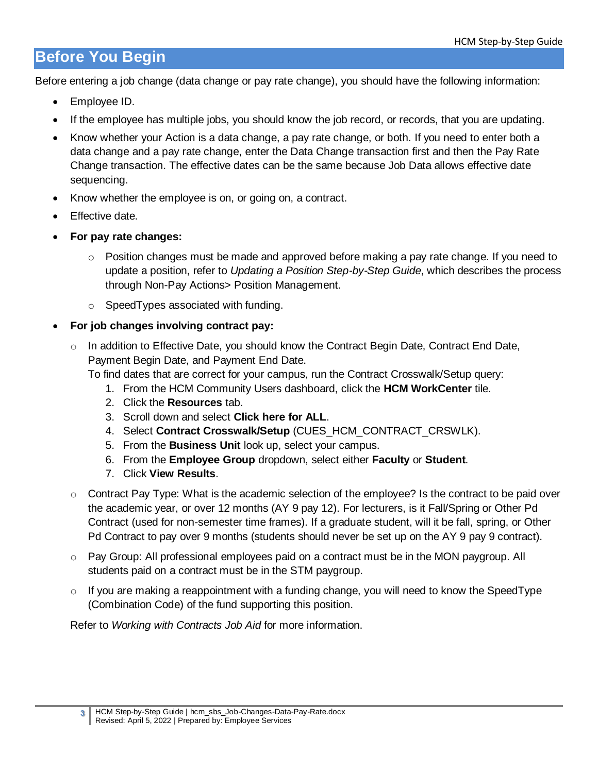# <span id="page-2-0"></span>**Before You Begin**

Before entering a job change (data change or pay rate change), you should have the following information:

- Employee ID.
- If the employee has multiple jobs, you should know the job record, or records, that you are updating.
- Know whether your Action is a data change, a pay rate change, or both. If you need to enter both a data change and a pay rate change, enter the Data Change transaction first and then the Pay Rate Change transaction. The effective dates can be the same because Job Data allows effective date sequencing.
- Know whether the employee is on, or going on, a contract.
- Effective date.
- **For pay rate changes:**
	- $\circ$  Position changes must be made and approved before making a pay rate change. If you need to update a position, refer to *Updating a Position Step-by-Step Guide*, which describes the process through Non-Pay Actions> Position Management.
	- o SpeedTypes associated with funding.
- **For job changes involving contract pay:**
	- $\circ$  In addition to Effective Date, you should know the Contract Begin Date, Contract End Date, Payment Begin Date, and Payment End Date.

To find dates that are correct for your campus, run the Contract Crosswalk/Setup query:

- 1. From the HCM Community Users dashboard, click the **HCM WorkCenter** tile.
- 2. Click the **Resources** tab.
- 3. Scroll down and select **Click here for ALL**.
- 4. Select **Contract Crosswalk/Setup** (CUES\_HCM\_CONTRACT\_CRSWLK).
- 5. From the **Business Unit** look up, select your campus.
- 6. From the **Employee Group** dropdown, select either **Faculty** or **Student**.
- 7. Click **View Results**.
- o Contract Pay Type: What is the academic selection of the employee? Is the contract to be paid over the academic year, or over 12 months (AY 9 pay 12). For lecturers, is it Fall/Spring or Other Pd Contract (used for non-semester time frames). If a graduate student, will it be fall, spring, or Other Pd Contract to pay over 9 months (students should never be set up on the AY 9 pay 9 contract).
- $\circ$  Pay Group: All professional employees paid on a contract must be in the MON paygroup. All students paid on a contract must be in the STM paygroup.
- o If you are making a reappointment with a funding change, you will need to know the SpeedType (Combination Code) of the fund supporting this position.

Refer to *Working with Contracts Job Aid* for more information.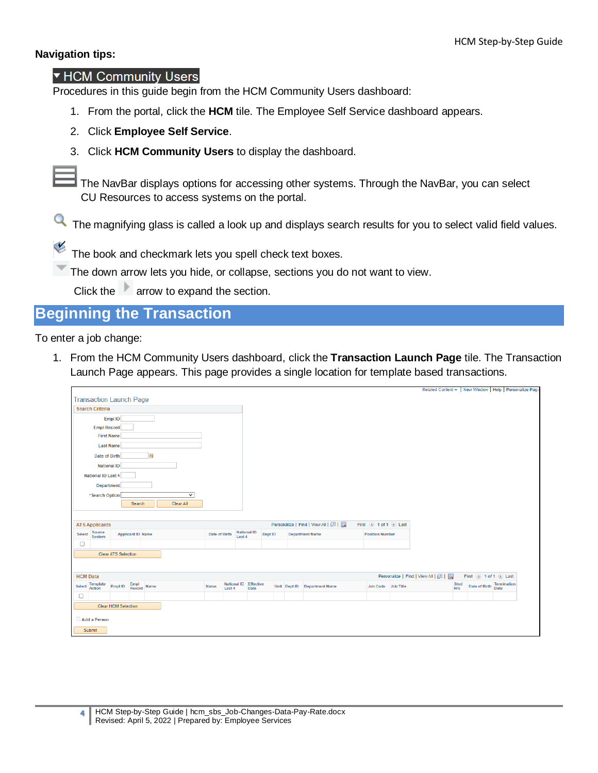#### **Navigation tips:**

#### ▼ HCM Community Users

Procedures in this guide begin from the HCM Community Users dashboard:

- 1. From the portal, click the **HCM** tile. The Employee Self Service dashboard appears.
- 2. Click **Employee Self Service**.
- 3. Click **HCM Community Users** to display the dashboard.

**The NavBar displays options for accessing other systems. Through the NavBar, you can select** CU Resources to access systems on the portal.

The magnifying glass is called a look up and displays search results for you to select valid field values.

The book and checkmark lets you spell check text boxes.

The down arrow lets you hide, or collapse, sections you do not want to view.

Click the arrow to expand the section.

# <span id="page-3-0"></span>**Beginning the Transaction**

To enter a job change:

1. From the HCM Community Users dashboard, click the **Transaction Launch Page** tile. The Transaction Launch Page appears. This page provides a single location for template based transactions.

|                                                                                                                    |                                   |                        | Related Content -   New Window   Help   Personalize Pag    |
|--------------------------------------------------------------------------------------------------------------------|-----------------------------------|------------------------|------------------------------------------------------------|
| <b>Transaction Launch Page</b>                                                                                     |                                   |                        |                                                            |
| <b>Search Criteria</b>                                                                                             |                                   |                        |                                                            |
| Empl ID                                                                                                            |                                   |                        |                                                            |
| <b>Empl Record</b>                                                                                                 |                                   |                        |                                                            |
| <b>First Name</b>                                                                                                  |                                   |                        |                                                            |
| <b>Last Name</b>                                                                                                   |                                   |                        |                                                            |
| $\overline{\mathbf{31}}$<br>Date of Birth                                                                          |                                   |                        |                                                            |
| <b>National ID</b>                                                                                                 |                                   |                        |                                                            |
| National ID Last 4                                                                                                 |                                   |                        |                                                            |
| Department                                                                                                         |                                   |                        |                                                            |
| *Search Option<br>$\checkmark$                                                                                     |                                   |                        |                                                            |
| Search<br>Clear All                                                                                                |                                   |                        |                                                            |
|                                                                                                                    |                                   |                        |                                                            |
| <b>ATS Applicants</b>                                                                                              | Personalize   Find   View All   2 | First 4 1 of 1 2 Last  |                                                            |
| <b>National ID</b><br>Source<br>System<br>Dept ID<br>Select<br><b>Applicant ID Name</b><br>Date of Birth<br>Last 4 | <b>Department Name</b>            | <b>Position Number</b> |                                                            |
| 0                                                                                                                  |                                   |                        |                                                            |
|                                                                                                                    |                                   |                        |                                                            |
| <b>Clear ATS Selection</b>                                                                                         |                                   |                        |                                                            |
|                                                                                                                    |                                   |                        |                                                            |
|                                                                                                                    |                                   |                        |                                                            |
| <b>HCM Data</b><br>National ID Effective                                                                           |                                   |                        | Personalize   Find   View All   2  <br>First 1 of 1 D Last |
| <b>Template</b><br><b>Action</b><br>Empl<br>Record Name<br>Select<br>Empl ID<br><b>Status</b><br>Date<br>Last 4    | Unit Dept ID Department Name      | Job Code Job Title     | Stnd<br>Date of Birth Termination<br><b>Hrs</b>            |
| $\Box$                                                                                                             |                                   |                        |                                                            |
| Clear HCM Selection                                                                                                |                                   |                        |                                                            |
| Add a Person                                                                                                       |                                   |                        |                                                            |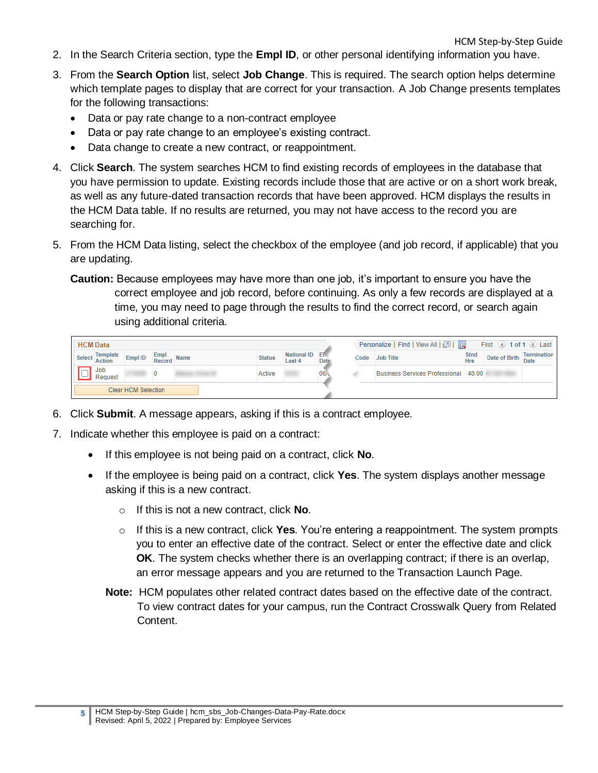- 2. In the Search Criteria section, type the **Empl ID**, or other personal identifying information you have.
- 3. From the **Search Option** list, select **Job Change**. This is required. The search option helps determine which template pages to display that are correct for your transaction. A Job Change presents templates for the following transactions:
	- Data or pay rate change to a non-contract employee
	- Data or pay rate change to an employee's existing contract.
	- Data change to create a new contract, or reappointment.
- 4. Click **Search**. The system searches HCM to find existing records of employees in the database that you have permission to update. Existing records include those that are active or on a short work break, as well as any future-dated transaction records that have been approved. HCM displays the results in the HCM Data table. If no results are returned, you may not have access to the record you are searching for.
- 5. From the HCM Data listing, select the checkbox of the employee (and job record, if applicable) that you are updating.
	- **Caution:** Because employees may have more than one job, it's important to ensure you have the correct employee and job record, before continuing. As only a few records are displayed at a time, you may need to page through the results to find the correct record, or search again using additional criteria.

| <b>HCM</b> Data |                       |                     |                     |               |                           |      |      | Personalize   Find   View All   2      |                           | First $\left($ 1 of 1 $\left($ $\right)$ Last |             |
|-----------------|-----------------------|---------------------|---------------------|---------------|---------------------------|------|------|----------------------------------------|---------------------------|-----------------------------------------------|-------------|
|                 | Select Template       | Empl ID             | Empl<br>Record Name | <b>Status</b> | National ID Eff<br>Last 4 | Date | Code | <b>Job Title</b>                       | <b>Stnd</b><br><b>Hrs</b> | Date of Birth Date                            | Termination |
|                 | <b>Job</b><br>Request |                     |                     | Active        |                           | 06/6 |      | Business Services Professional   40.00 |                           |                                               |             |
|                 |                       | Clear HCM Selection |                     |               |                           |      |      |                                        |                           |                                               |             |

- 6. Click **Submit**. A message appears, asking if this is a contract employee.
- 7. Indicate whether this employee is paid on a contract:
	- If this employee is not being paid on a contract, click **No**.
	- If the employee is being paid on a contract, click **Yes**. The system displays another message asking if this is a new contract.
		- o If this is not a new contract, click **No**.
		- o If this is a new contract, click **Yes**. You're entering a reappointment. The system prompts you to enter an effective date of the contract. Select or enter the effective date and click **OK**. The system checks whether there is an overlapping contract; if there is an overlap, an error message appears and you are returned to the Transaction Launch Page.
		- **Note:** HCM populates other related contract dates based on the effective date of the contract. To view contract dates for your campus, run the Contract Crosswalk Query from Related Content.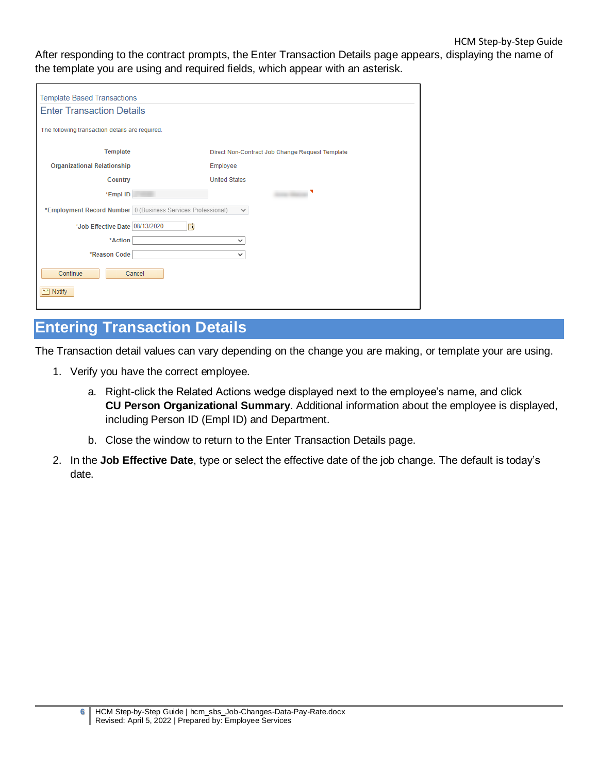After responding to the contract prompts, the Enter Transaction Details page appears, displaying the name of the template you are using and required fields, which appear with an asterisk.

| <b>Template Based Transactions</b>                           |                                                 |  |
|--------------------------------------------------------------|-------------------------------------------------|--|
| <b>Enter Transaction Details</b>                             |                                                 |  |
| The following transaction details are required.              |                                                 |  |
| <b>Template</b>                                              | Direct Non-Contract Job Change Request Template |  |
| <b>Organizational Relationship</b>                           | Employee                                        |  |
| Country                                                      | <b>United States</b>                            |  |
| *Empl ID                                                     | ◥                                               |  |
| *Employment Record Number 0 (Business Services Professional) | $\checkmark$                                    |  |
| Ħ<br>*Job Effective Date 08/13/2020                          |                                                 |  |
| *Action                                                      | $\checkmark$                                    |  |
| *Reason Code                                                 | $\checkmark$                                    |  |
| Continue<br>Cancel                                           |                                                 |  |
| $\equiv$ Notify                                              |                                                 |  |

# <span id="page-5-0"></span>**Entering Transaction Details**

The Transaction detail values can vary depending on the change you are making, or template your are using.

- 1. Verify you have the correct employee.
	- a. Right-click the Related Actions wedge displayed next to the employee's name, and click **CU Person Organizational Summary**. Additional information about the employee is displayed, including Person ID (Empl ID) and Department.
	- b. Close the window to return to the Enter Transaction Details page.
- 2. In the **Job Effective Date**, type or select the effective date of the job change. The default is today's date.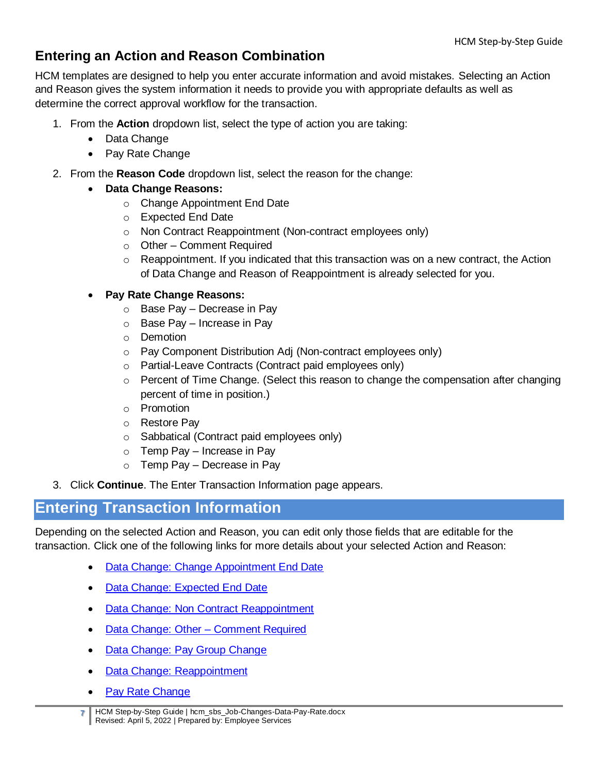# <span id="page-6-0"></span>**Entering an Action and Reason Combination**

HCM templates are designed to help you enter accurate information and avoid mistakes. Selecting an Action and Reason gives the system information it needs to provide you with appropriate defaults as well as determine the correct approval workflow for the transaction.

- 1. From the **Action** dropdown list, select the type of action you are taking:
	- Data Change
	- Pay Rate Change
- 2. From the **Reason Code** dropdown list, select the reason for the change:
	- **Data Change Reasons:**
		- o Change Appointment End Date
		- o Expected End Date
		- o Non Contract Reappointment (Non-contract employees only)
		- o Other Comment Required
		- $\circ$  Reappointment. If you indicated that this transaction was on a new contract, the Action of Data Change and Reason of Reappointment is already selected for you.

#### **Pay Rate Change Reasons:**

- o Base Pay Decrease in Pay
- $\circ$  Base Pay Increase in Pay
- o Demotion
- o Pay Component Distribution Adj (Non-contract employees only)
- o Partial-Leave Contracts (Contract paid employees only)
- o Percent of Time Change. (Select this reason to change the compensation after changing percent of time in position.)
- o Promotion
- o Restore Pay
- o Sabbatical (Contract paid employees only)
- $\circ$  Temp Pay Increase in Pay
- o Temp Pay Decrease in Pay
- 3. Click **Continue**. The Enter Transaction Information page appears.

# <span id="page-6-1"></span>**Entering Transaction Information**

Depending on the selected Action and Reason, you can edit only those fields that are editable for the transaction. Click one of the following links for more details about your selected Action and Reason:

- [Data Change: Change Appointment End Date](#page-7-1)
- [Data Change: Expected End Date](#page-8-1)
- [Data Change: Non Contract Reappointment](#page-9-1)
- [Data Change: Other –](#page-10-1) Comment Required
- [Data Change: Pay Group Change](#page-11-2)
- [Data Change: Reappointment](#page-11-3)
- [Pay Rate Change](#page-12-1)

**<sup>7</sup>** HCM Step-by-Step Guide | hcm\_sbs\_Job-Changes-Data-Pay-Rate.docx Revised: April 5, 2022 | Prepared by: Employee Services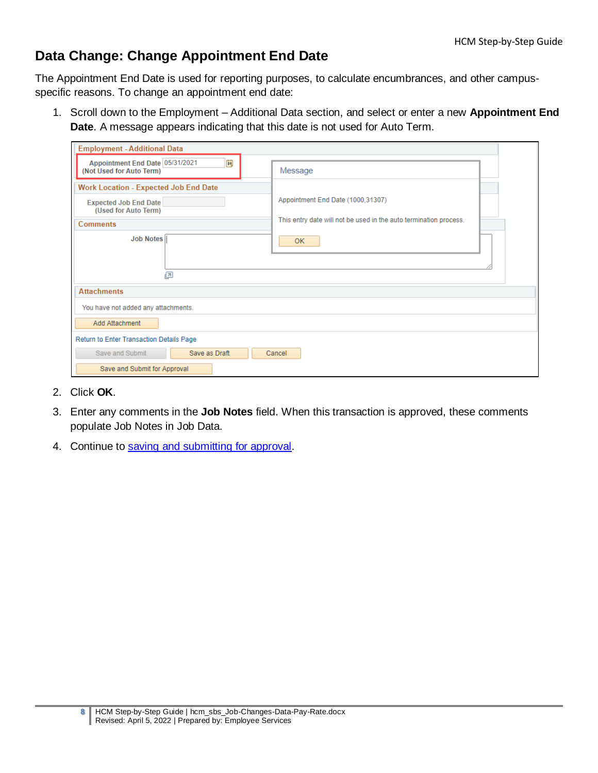### <span id="page-7-1"></span><span id="page-7-0"></span>**Data Change: Change Appointment End Date**

The Appointment End Date is used for reporting purposes, to calculate encumbrances, and other campusspecific reasons. To change an appointment end date:

1. Scroll down to the Employment – Additional Data section, and select or enter a new **Appointment End Date**. A message appears indicating that this date is not used for Auto Term.

| <b>Employment - Additional Data</b>                              |                                                                   |  |  |  |
|------------------------------------------------------------------|-------------------------------------------------------------------|--|--|--|
| Appointment End Date 05/31/2021<br>Ħ<br>(Not Used for Auto Term) | Message                                                           |  |  |  |
| <b>Work Location - Expected Job End Date</b>                     |                                                                   |  |  |  |
| <b>Expected Job End Date</b><br>(Used for Auto Term)             | Appointment End Date (1000,31307)                                 |  |  |  |
| <b>Comments</b>                                                  | This entry date will not be used in the auto termination process. |  |  |  |
| <b>Job Notes</b><br>囨                                            | 0K                                                                |  |  |  |
| <b>Attachments</b>                                               |                                                                   |  |  |  |
| You have not added any attachments.                              |                                                                   |  |  |  |
| Add Attachment                                                   |                                                                   |  |  |  |
| Return to Enter Transaction Details Page                         |                                                                   |  |  |  |
| Save as Draft<br>Save and Submit                                 | Cancel                                                            |  |  |  |
| Save and Submit for Approval                                     |                                                                   |  |  |  |

- 2. Click **OK**.
- 3. Enter any comments in the **Job Notes** field. When this transaction is approved, these comments populate Job Notes in Job Data.
- 4. Continue to [saving and submitting for approval.](#page-13-2)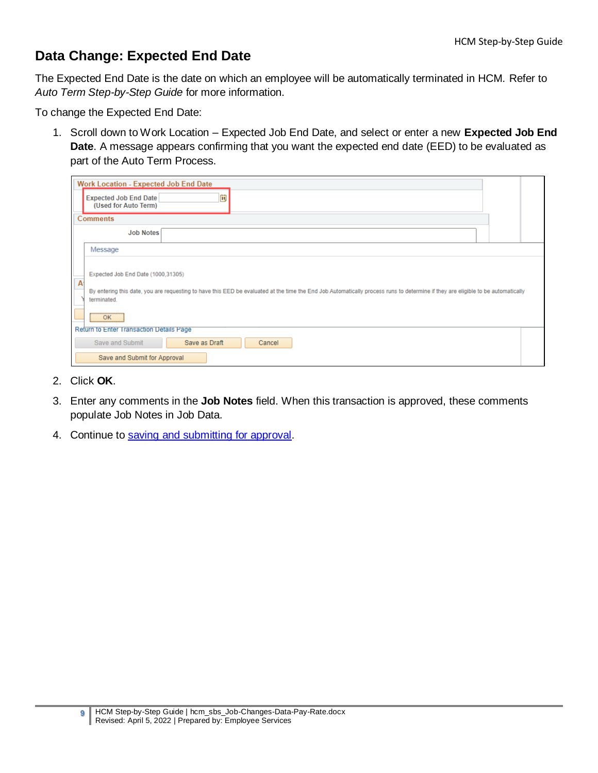# <span id="page-8-0"></span>**Data Change: Expected End Date**

The Expected End Date is the date on which an employee will be automatically terminated in HCM. Refer to *Auto Term Step-by-Step Guide* for more information.

To change the Expected End Date:

<span id="page-8-1"></span>1. Scroll down to Work Location – Expected Job End Date, and select or enter a new **Expected Job End Date**. A message appears confirming that you want the expected end date (EED) to be evaluated as part of the Auto Term Process.

|   | <b>Work Location - Expected Job End Date</b>                                                                                                                                                                                                                                |  |
|---|-----------------------------------------------------------------------------------------------------------------------------------------------------------------------------------------------------------------------------------------------------------------------------|--|
|   | ij<br><b>Expected Job End Date</b><br>(Used for Auto Term)                                                                                                                                                                                                                  |  |
|   | <b>Comments</b>                                                                                                                                                                                                                                                             |  |
|   | <b>Job Notes</b>                                                                                                                                                                                                                                                            |  |
|   | Message                                                                                                                                                                                                                                                                     |  |
| A | Expected Job End Date (1000,31305)<br>By entering this date, you are requesting to have this EED be evaluated at the time the End Job Automatically process runs to determine if they are eligible to be automatically<br>terminated.<br>,,,,,,,,,,,,,,,,,,,,,,,,,,,,<br>OK |  |
|   | Return to Enter Transaction Details Page<br>Save and Submit<br>Save as Draft<br>Cancel                                                                                                                                                                                      |  |
|   | Save and Submit for Approval                                                                                                                                                                                                                                                |  |

- 2. Click **OK**.
- 3. Enter any comments in the **Job Notes** field. When this transaction is approved, these comments populate Job Notes in Job Data.
- 4. Continue to [saving and submitting for approval.](#page-13-2)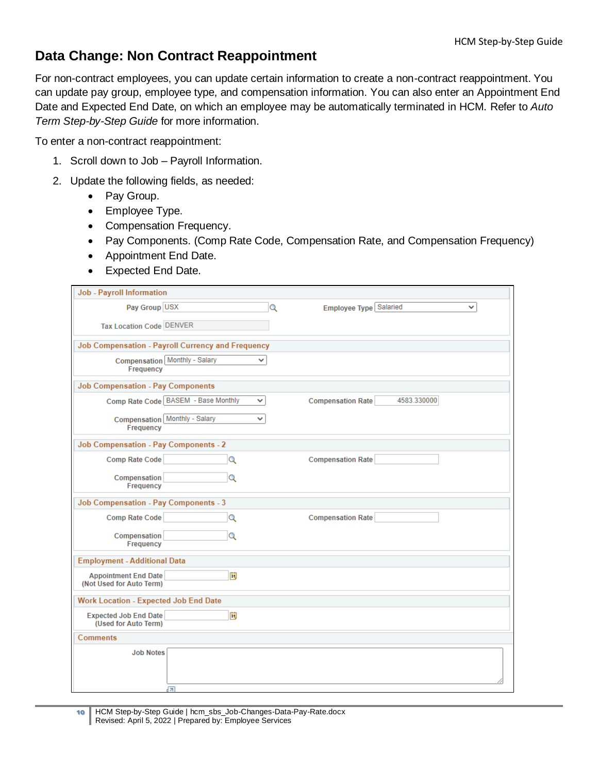### <span id="page-9-1"></span><span id="page-9-0"></span>**Data Change: Non Contract Reappointment**

For non-contract employees, you can update certain information to create a non-contract reappointment. You can update pay group, employee type, and compensation information. You can also enter an Appointment End Date and Expected End Date, on which an employee may be automatically terminated in HCM. Refer to *Auto Term Step-by-Step Guide* for more information.

To enter a non-contract reappointment:

- 1. Scroll down to Job Payroll Information.
- 2. Update the following fields, as needed:
	- Pay Group.
	- Employee Type.
	- Compensation Frequency.
	- Pay Components. (Comp Rate Code, Compensation Rate, and Compensation Frequency)
	- Appointment End Date.
	- Expected End Date.

| <b>Job - Payroll Information</b>                        |                                                     |                          |                                        |
|---------------------------------------------------------|-----------------------------------------------------|--------------------------|----------------------------------------|
| Pay Group USX                                           |                                                     | Q                        | Employee Type Salaried<br>$\checkmark$ |
| <b>Tax Location Code DENVER</b>                         |                                                     |                          |                                        |
|                                                         | Job Compensation - Payroll Currency and Frequency   |                          |                                        |
| Frequency                                               | Compensation Monthly - Salary<br>v                  |                          |                                        |
| <b>Job Compensation - Pay Components</b>                |                                                     |                          |                                        |
|                                                         | Comp Rate Code BASEM - Base Monthly<br>$\checkmark$ | <b>Compensation Rate</b> | 4583.330000                            |
| Frequency                                               | <b>Compensation</b> Monthly - Salary<br>v           |                          |                                        |
| <b>Job Compensation - Pay Components - 2</b>            |                                                     |                          |                                        |
| Comp Rate Code                                          | Q                                                   | <b>Compensation Rate</b> |                                        |
| <b>Compensation</b><br>Frequency                        | Q                                                   |                          |                                        |
| <b>Job Compensation - Pay Components - 3</b>            |                                                     |                          |                                        |
| Comp Rate Code                                          | Q                                                   | <b>Compensation Rate</b> |                                        |
| <b>Compensation</b><br>Frequency                        | Q                                                   |                          |                                        |
| <b>Employment - Additional Data</b>                     |                                                     |                          |                                        |
| <b>Appointment End Date</b><br>(Not Used for Auto Term) | Ħ                                                   |                          |                                        |
| <b>Work Location - Expected Job End Date</b>            |                                                     |                          |                                        |
| <b>Expected Job End Date</b><br>(Used for Auto Term)    | Ħ                                                   |                          |                                        |
| <b>Comments</b>                                         |                                                     |                          |                                        |
| <b>Job Notes</b>                                        | त्रज                                                |                          |                                        |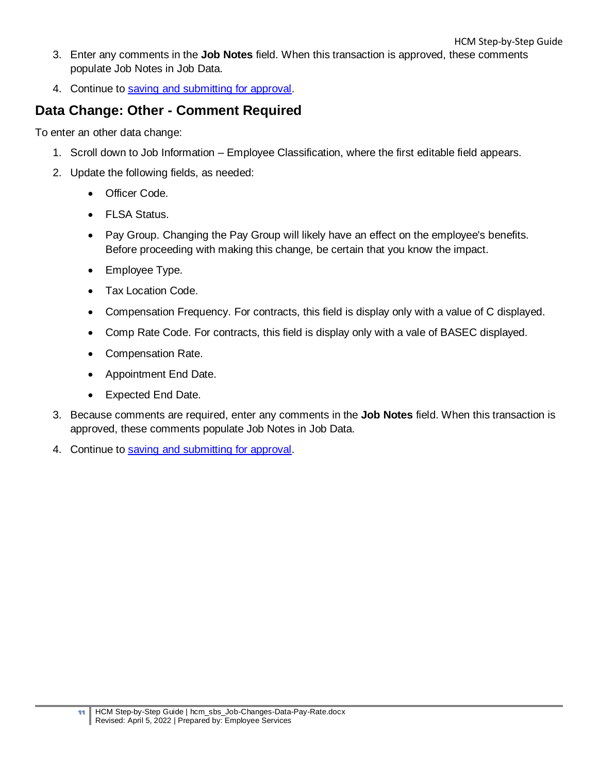- 3. Enter any comments in the **Job Notes** field. When this transaction is approved, these comments populate Job Notes in Job Data.
- <span id="page-10-1"></span>4. Continue to [saving and submitting for approval.](#page-13-2)

### <span id="page-10-0"></span>**Data Change: Other - Comment Required**

To enter an other data change:

- 1. Scroll down to Job Information Employee Classification, where the first editable field appears.
- 2. Update the following fields, as needed:
	- Officer Code.
	- FLSA Status.
	- Pay Group. Changing the Pay Group will likely have an effect on the employee's benefits. Before proceeding with making this change, be certain that you know the impact.
	- Employee Type.
	- Tax Location Code.
	- Compensation Frequency. For contracts, this field is display only with a value of C displayed.
	- Comp Rate Code. For contracts, this field is display only with a vale of BASEC displayed.
	- Compensation Rate.
	- Appointment End Date.
	- Expected End Date.
- 3. Because comments are required, enter any comments in the **Job Notes** field. When this transaction is approved, these comments populate Job Notes in Job Data.
- 4. Continue to [saving and submitting for approval.](#page-13-2)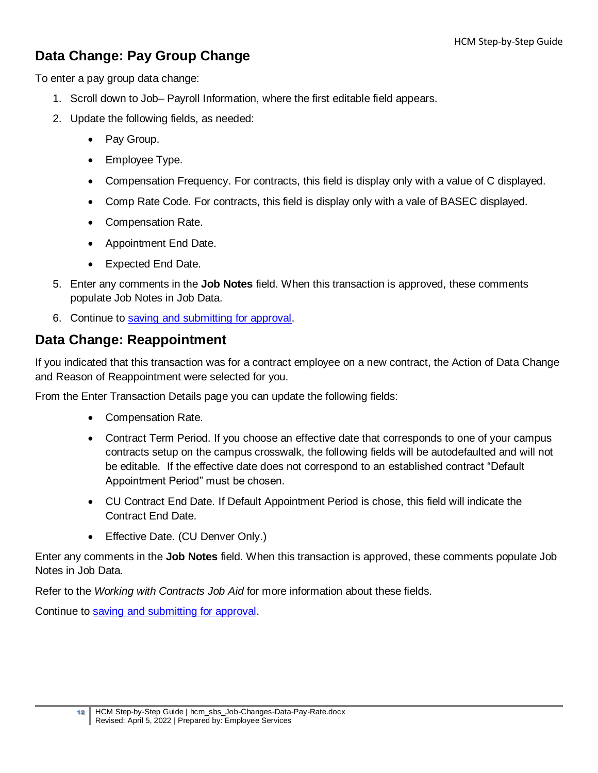# <span id="page-11-0"></span>**Data Change: Pay Group Change**

To enter a pay group data change:

- <span id="page-11-2"></span>1. Scroll down to Job– Payroll Information, where the first editable field appears.
- 2. Update the following fields, as needed:
	- Pay Group.
	- Employee Type.
	- Compensation Frequency. For contracts, this field is display only with a value of C displayed.
	- Comp Rate Code. For contracts, this field is display only with a vale of BASEC displayed.
	- Compensation Rate.
	- Appointment End Date.
	- Expected End Date.
- 5. Enter any comments in the **Job Notes** field. When this transaction is approved, these comments populate Job Notes in Job Data.
- 6. Continue to [saving and submitting for approval.](#page-13-2)

### <span id="page-11-1"></span>**Data Change: Reappointment**

If you indicated that this transaction was for a contract employee on a new contract, the Action of Data Change and Reason of Reappointment were selected for you.

From the Enter Transaction Details page you can update the following fields:

- <span id="page-11-3"></span>• Compensation Rate.
- Contract Term Period. If you choose an effective date that corresponds to one of your campus contracts setup on the campus crosswalk, the following fields will be autodefaulted and will not be editable. If the effective date does not correspond to an established contract "Default Appointment Period" must be chosen.
- CU Contract End Date. If Default Appointment Period is chose, this field will indicate the Contract End Date.
- Effective Date. (CU Denver Only.)

Enter any comments in the **Job Notes** field. When this transaction is approved, these comments populate Job Notes in Job Data.

Refer to the *Working with Contracts Job Aid* for more information about these fields.

Continue to [saving and submitting for approval.](#page-13-2)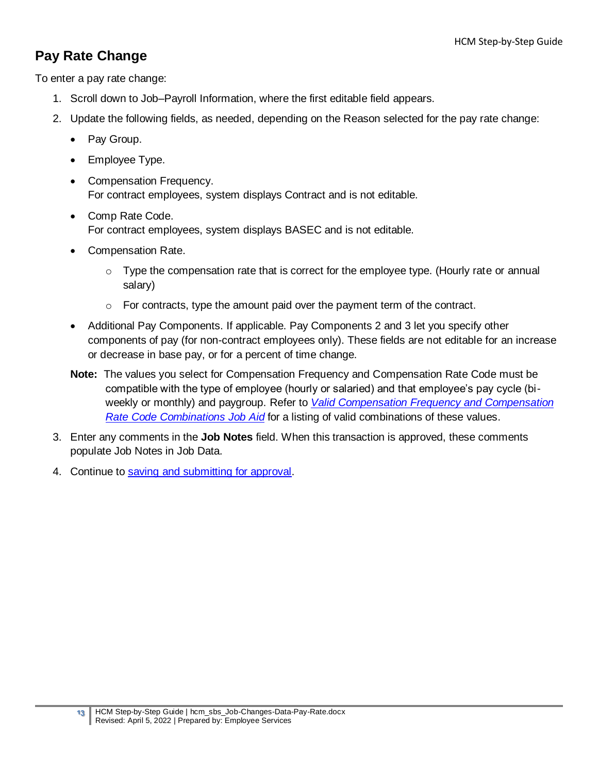### <span id="page-12-0"></span>**Pay Rate Change**

To enter a pay rate change:

- <span id="page-12-1"></span>1. Scroll down to Job–Payroll Information, where the first editable field appears.
- 2. Update the following fields, as needed, depending on the Reason selected for the pay rate change:
	- Pay Group.
	- Employee Type.
	- Compensation Frequency. For contract employees, system displays Contract and is not editable.
	- Comp Rate Code. For contract employees, system displays BASEC and is not editable.
	- Compensation Rate.
		- $\circ$  Type the compensation rate that is correct for the employee type. (Hourly rate or annual salary)
		- o For contracts, type the amount paid over the payment term of the contract.
	- Additional Pay Components. If applicable. Pay Components 2 and 3 let you specify other components of pay (for non-contract employees only). These fields are not editable for an increase or decrease in base pay, or for a percent of time change.
	- **Note:** The values you select for Compensation Frequency and Compensation Rate Code must be compatible with the type of employee (hourly or salaried) and that employee's pay cycle (biweekly or monthly) and paygroup. Refer to *[Valid Compensation Frequency and Compensation](https://www.cu.edu/docs/jaid-Valid-Comp-Freq-Comp-Rate-Combinations)  [Rate Code Combinations Job](https://www.cu.edu/docs/jaid-Valid-Comp-Freq-Comp-Rate-Combinations) Aid* for a listing of valid combinations of these values.
- 3. Enter any comments in the **Job Notes** field. When this transaction is approved, these comments populate Job Notes in Job Data.
- 4. Continue to [saving and submitting for approval.](#page-13-2)